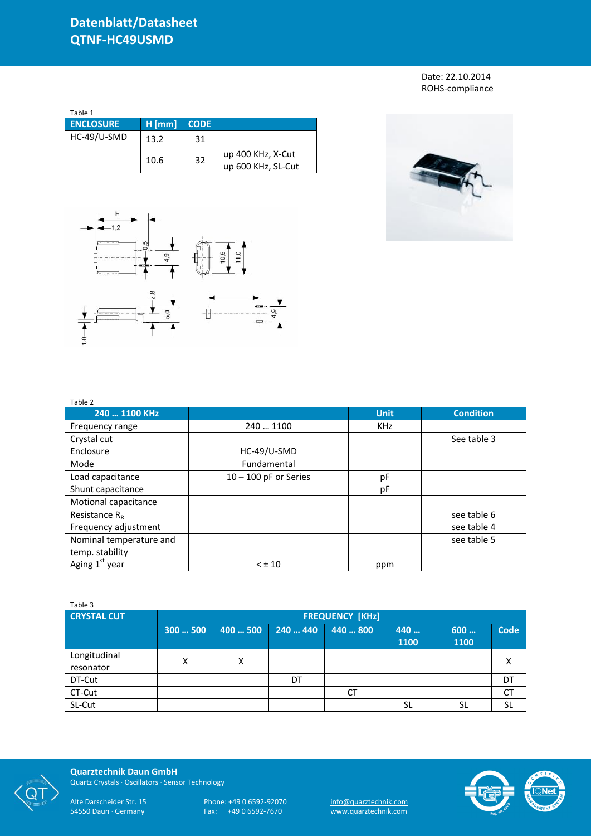Date: 22.10.2014 ROHS-compliance

| Table 1          |          |             |                                         |  |  |  |  |
|------------------|----------|-------------|-----------------------------------------|--|--|--|--|
| <b>ENCLOSURE</b> | $H$ [mm] | <b>CODE</b> |                                         |  |  |  |  |
| HC-49/U-SMD      | 13.2     | 31          |                                         |  |  |  |  |
|                  | 10.6     | 32          | up 400 KHz, X-Cut<br>up 600 KHz, SL-Cut |  |  |  |  |





| Table 2                    |                         |             |                  |
|----------------------------|-------------------------|-------------|------------------|
| 240  1100 KHz              |                         | <b>Unit</b> | <b>Condition</b> |
| Frequency range            | 240  1100               | <b>KHz</b>  |                  |
| Crystal cut                |                         |             | See table 3      |
| Enclosure                  | HC-49/U-SMD             |             |                  |
| Mode                       | Fundamental             |             |                  |
| Load capacitance           | $10 - 100$ pF or Series | рF          |                  |
| Shunt capacitance          |                         | рF          |                  |
| Motional capacitance       |                         |             |                  |
| Resistance $R_{R}$         |                         |             | see table 6      |
| Frequency adjustment       |                         |             | see table 4      |
| Nominal temperature and    |                         |             | see table 5      |
| temp. stability            |                         |             |                  |
| Aging 1 <sup>st</sup> year | $< \pm 10$              | ppm         |                  |

| Table 3                   |                        |          |          |          |             |             |             |
|---------------------------|------------------------|----------|----------|----------|-------------|-------------|-------------|
| <b>CRYSTAL CUT</b>        | <b>FREQUENCY [KHz]</b> |          |          |          |             |             |             |
|                           | 300  500               | 400  500 | 240  440 | 440  800 | 440<br>1100 | 600<br>1100 | <b>Code</b> |
| Longitudinal<br>resonator | х                      | X        |          |          |             |             | х           |
| DT-Cut                    |                        |          | DT       |          |             |             | DT          |
| CT-Cut                    |                        |          |          | СT       |             |             | СT          |
| SL-Cut                    |                        |          |          |          | SL          | SL          | SL          |



**Quarztechnik Daun GmbH** Quartz Crystals · Oscillators · Sensor Technology

Alte Darscheider Str. 15 Phone: +49 0 6592-92070 <u>info@quarztechnik.com</u>

54550 Daun · Germany Fax: +49 0 6592-7670 www.quarztechnik.com